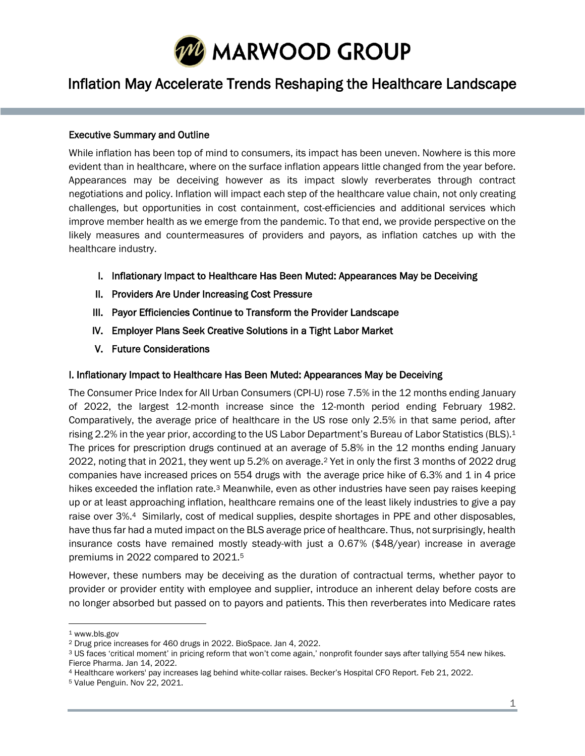

# Inflation May Accelerate Trends Reshaping the Healthcare Landscape

#### Executive Summary and Outline

l

While inflation has been top of mind to consumers, its impact has been uneven. Nowhere is this more evident than in healthcare, where on the surface inflation appears little changed from the year before. Appearances may be deceiving however as its impact slowly reverberates through contract negotiations and policy. Inflation will impact each step of the healthcare value chain, not only creating challenges, but opportunities in cost containment, cost-efficiencies and additional services which improve member health as we emerge from the pandemic. To that end, we provide perspective on the likely measures and countermeasures of providers and payors, as inflation catches up with the healthcare industry.

- I. Inflationary Impact to Healthcare Has Been Muted: Appearances May be Deceiving
- II. Providers Are Under Increasing Cost Pressure
- III. Payor Efficiencies Continue to Transform the Provider Landscape
- IV. Employer Plans Seek Creative Solutions in a Tight Labor Market
- V. Future Considerations

#### I. Inflationary Impact to Healthcare Has Been Muted: Appearances May be Deceiving

The Consumer Price Index for All Urban Consumers (CPI-U) rose 7.5% in the 12 months ending January of 2022, the largest 12-month increase since the 12-month period ending February 1982. Comparatively, the average price of healthcare in the US rose only 2.5% in that same period, after rising 2.2% in the year prior, according to the US Labor Department's Bureau of Labor Statistics (BLS).<sup>1</sup> The prices for prescription drugs continued at an average of 5.8% in the 12 months ending January 2022, noting that in 2021, they went up 5.2% on average.<sup>2</sup> Yet in only the first 3 months of 2022 drug companies have increased prices on 554 drugs with the average price hike of 6.3% and 1 in 4 price hikes exceeded the inflation rate.<sup>3</sup> Meanwhile, even as other industries have seen pay raises keeping up or at least approaching inflation, healthcare remains one of the least likely industries to give a pay raise over 3%.4 Similarly, cost of medical supplies, despite shortages in PPE and other disposables, have thus far had a muted impact on the BLS average price of healthcare. Thus, not surprisingly, health insurance costs have remained mostly steady-with just a 0.67% (\$48/year) increase in average premiums in 2022 compared to 2021.<sup>5</sup>

However, these numbers may be deceiving as the duration of contractual terms, whether payor to provider or provider entity with employee and supplier, introduce an inherent delay before costs are no longer absorbed but passed on to payors and patients. This then reverberates into Medicare rates

<sup>1</sup> www.bls.gov

<sup>2</sup> Drug price increases for 460 drugs in 2022. BioSpace. Jan 4, 2022.

<sup>3</sup> US faces 'critical moment' in pricing reform that won't come again,' nonprofit founder says after tallying 554 new hikes. Fierce Pharma. Jan 14, 2022.

<sup>4</sup> Healthcare workers' pay increases lag behind white-collar raises. Becker's Hospital CFO Report. Feb 21, 2022.

<sup>5</sup> Value Penguin. Nov 22, 2021.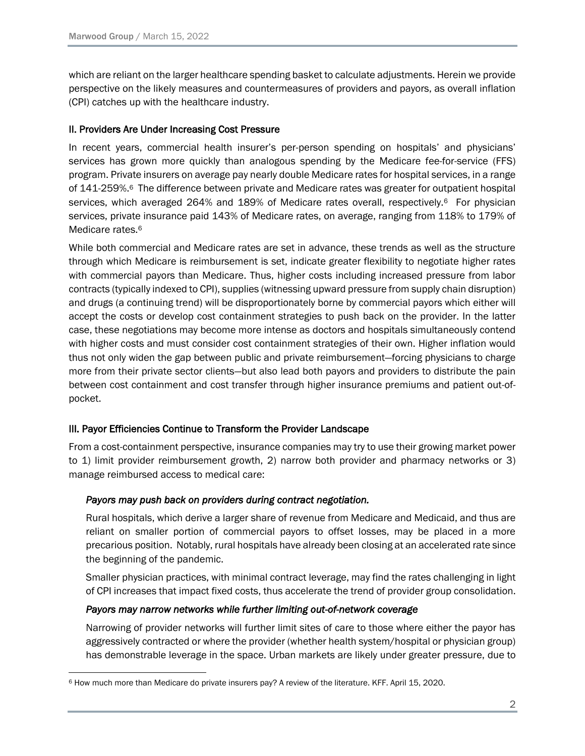which are reliant on the larger healthcare spending basket to calculate adjustments. Herein we provide perspective on the likely measures and countermeasures of providers and payors, as overall inflation (CPI) catches up with the healthcare industry.

## II. Providers Are Under Increasing Cost Pressure

<span id="page-1-0"></span>In recent years, commercial health insurer's per-person spending on hospitals' and physicians' services has grown more quickly than analogous spending by the Medicare fee-for-service (FFS) program. Private insurers on average pay nearly double Medicare rates for hospital services, in a range of 141-259%.6 The difference between private and Medicare rates was greater for outpatient hospital services, which averaged 2[6](#page-1-0)4% and 189% of Medicare rates overall, respectively.<sup>6</sup> For physician services, private insurance paid 143% of Medicare rates, on average, ranging from 118% to 179% of Medicare rates.<sup>[6](#page-1-0)</sup>

While both commercial and Medicare rates are set in advance, these trends as well as the structure through which Medicare is reimbursement is set, indicate greater flexibility to negotiate higher rates with commercial payors than Medicare. Thus, higher costs including increased pressure from labor contracts (typically indexed to CPI), supplies (witnessing upward pressure from supply chain disruption) and drugs (a continuing trend) will be disproportionately borne by commercial payors which either will accept the costs or develop cost containment strategies to push back on the provider. In the latter case, these negotiations may become more intense as doctors and hospitals simultaneously contend with higher costs and must consider cost containment strategies of their own. Higher inflation would thus not only widen the gap between public and private reimbursement—forcing physicians to charge more from their private sector clients—but also lead both payors and providers to distribute the pain between cost containment and cost transfer through higher insurance premiums and patient out-ofpocket.

## III. Payor Efficiencies Continue to Transform the Provider Landscape

From a cost-containment perspective, insurance companies may try to use their growing market power to 1) limit provider reimbursement growth, 2) narrow both provider and pharmacy networks or 3) manage reimbursed access to medical care:

## *Payors may push back on providers during contract negotiation.*

Rural hospitals, which derive a larger share of revenue from Medicare and Medicaid, and thus are reliant on smaller portion of commercial payors to offset losses, may be placed in a more precarious position. Notably, rural hospitals have already been closing at an accelerated rate since the beginning of the pandemic.

Smaller physician practices, with minimal contract leverage, may find the rates challenging in light of CPI increases that impact fixed costs, thus accelerate the trend of provider group consolidation.

## *Payors may narrow networks while further limiting out-of-network coverage*

Narrowing of provider networks will further limit sites of care to those where either the payor has aggressively contracted or where the provider (whether health system/hospital or physician group) has demonstrable leverage in the space. Urban markets are likely under greater pressure, due to

<sup>6</sup> How much more than Medicare do private insurers pay? A review of the literature. KFF. April 15, 2020.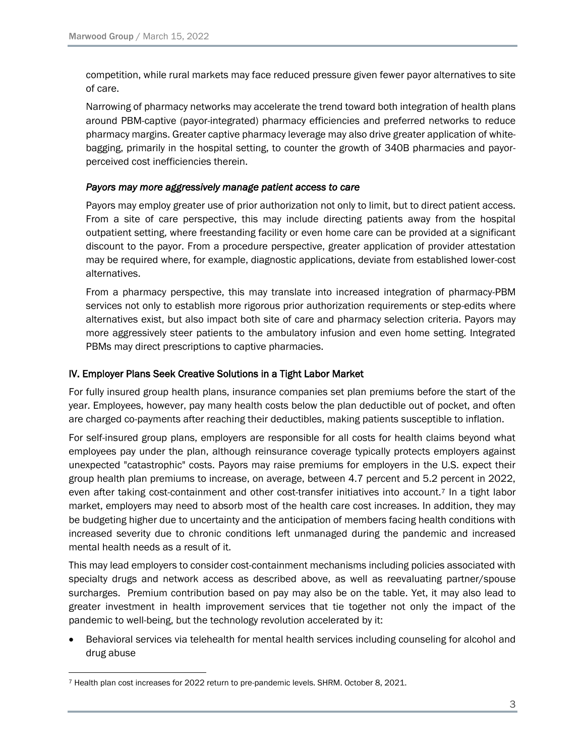competition, while rural markets may face reduced pressure given fewer payor alternatives to site of care.

Narrowing of pharmacy networks may accelerate the trend toward both integration of health plans around PBM-captive (payor-integrated) pharmacy efficiencies and preferred networks to reduce pharmacy margins. Greater captive pharmacy leverage may also drive greater application of whitebagging, primarily in the hospital setting, to counter the growth of 340B pharmacies and payorperceived cost inefficiencies therein.

## *Payors may more aggressively manage patient access to care*

Payors may employ greater use of prior authorization not only to limit, but to direct patient access. From a site of care perspective, this may include directing patients away from the hospital outpatient setting, where freestanding facility or even home care can be provided at a significant discount to the payor. From a procedure perspective, greater application of provider attestation may be required where, for example, diagnostic applications, deviate from established lower-cost alternatives.

From a pharmacy perspective, this may translate into increased integration of pharmacy-PBM services not only to establish more rigorous prior authorization requirements or step-edits where alternatives exist, but also impact both site of care and pharmacy selection criteria. Payors may more aggressively steer patients to the ambulatory infusion and even home setting. Integrated PBMs may direct prescriptions to captive pharmacies.

# IV. Employer Plans Seek Creative Solutions in a Tight Labor Market

For fully insured group health plans, insurance companies set plan premiums before the start of the year. Employees, however, pay many health costs below the plan deductible out of pocket, and often are charged co-payments after reaching their deductibles, making patients susceptible to inflation.

For self-insured group plans, employers are responsible for all costs for health claims beyond what employees pay under the plan, although reinsurance coverage typically protects employers against unexpected "catastrophic" costs. Payors may raise premiums for employers in the U.S. expect their group health plan premiums to increase, on average, between 4.7 percent and 5.2 percent in 2022, even after taking cost-containment and other cost-transfer initiatives into account.<sup>7</sup> In a tight labor market, employers may need to absorb most of the health care cost increases. In addition, they may be budgeting higher due to uncertainty and the anticipation of members facing health conditions with increased severity due to chronic conditions left unmanaged during the pandemic and increased mental health needs as a result of it.

This may lead employers to consider cost-containment mechanisms including policies associated with specialty drugs and network access as described above, as well as reevaluating partner/spouse surcharges. Premium contribution based on pay may also be on the table. Yet, it may also lead to greater investment in health improvement services that tie together not only the impact of the pandemic to well-being, but the technology revolution accelerated by it:

• Behavioral services via telehealth for mental health services including counseling for alcohol and drug abuse

<sup>7</sup> Health plan cost increases for 2022 return to pre-pandemic levels. SHRM. October 8, 2021.